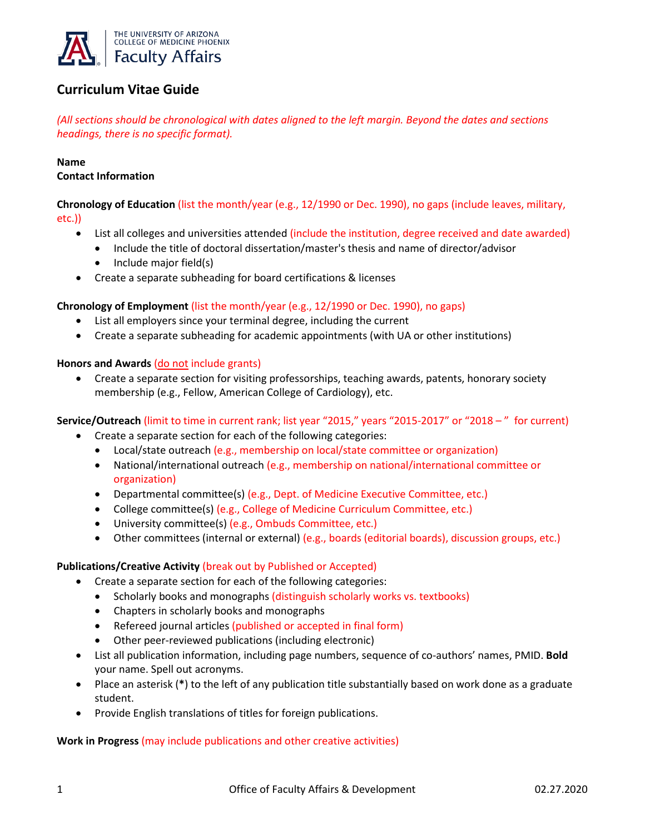

# **Curriculum Vitae Guide**

*(All sections should be chronological with dates aligned to the left margin. Beyond the dates and sections headings, there is no specific format).*

# **Name**

### **Contact Information**

**Chronology of Education** (list the month/year (e.g., 12/1990 or Dec. 1990), no gaps (include leaves, military, etc.))

- List all colleges and universities attended (include the institution, degree received and date awarded)
	- Include the title of doctoral dissertation/master's thesis and name of director/advisor
	- Include major field(s)
- Create a separate subheading for board certifications & licenses

#### **Chronology of Employment** (list the month/year (e.g., 12/1990 or Dec. 1990), no gaps)

- List all employers since your terminal degree, including the current
- Create a separate subheading for academic appointments (with UA or other institutions)

#### **Honors and Awards** (do not include grants)

• Create a separate section for visiting professorships, teaching awards, patents, honorary society membership (e.g., Fellow, American College of Cardiology), etc.

#### **Service/Outreach** (limit to time in current rank; list year "2015," years "2015-2017" or "2018 – " for current)

- Create a separate section for each of the following categories:
	- Local/state outreach (e.g., membership on local/state committee or organization)
	- National/international outreach (e.g., membership on national/international committee or organization)
	- Departmental committee(s) (e.g., Dept. of Medicine Executive Committee, etc.)
	- College committee(s) (e.g., College of Medicine Curriculum Committee, etc.)
	- University committee(s) (e.g., Ombuds Committee, etc.)
	- Other committees (internal or external) (e.g., boards (editorial boards), discussion groups, etc.)

#### **Publications/Creative Activity** (break out by Published or Accepted)

- Create a separate section for each of the following categories:
	- Scholarly books and monographs (distinguish scholarly works vs. textbooks)
	- Chapters in scholarly books and monographs
	- Refereed journal articles (published or accepted in final form)
	- Other peer-reviewed publications (including electronic)
- List all publication information, including page numbers, sequence of co-authors' names, PMID. **Bold** your name. Spell out acronyms.
- Place an asterisk (**\***) to the left of any publication title substantially based on work done as a graduate student.
- Provide English translations of titles for foreign publications.

#### **Work in Progress** (may include publications and other creative activities)